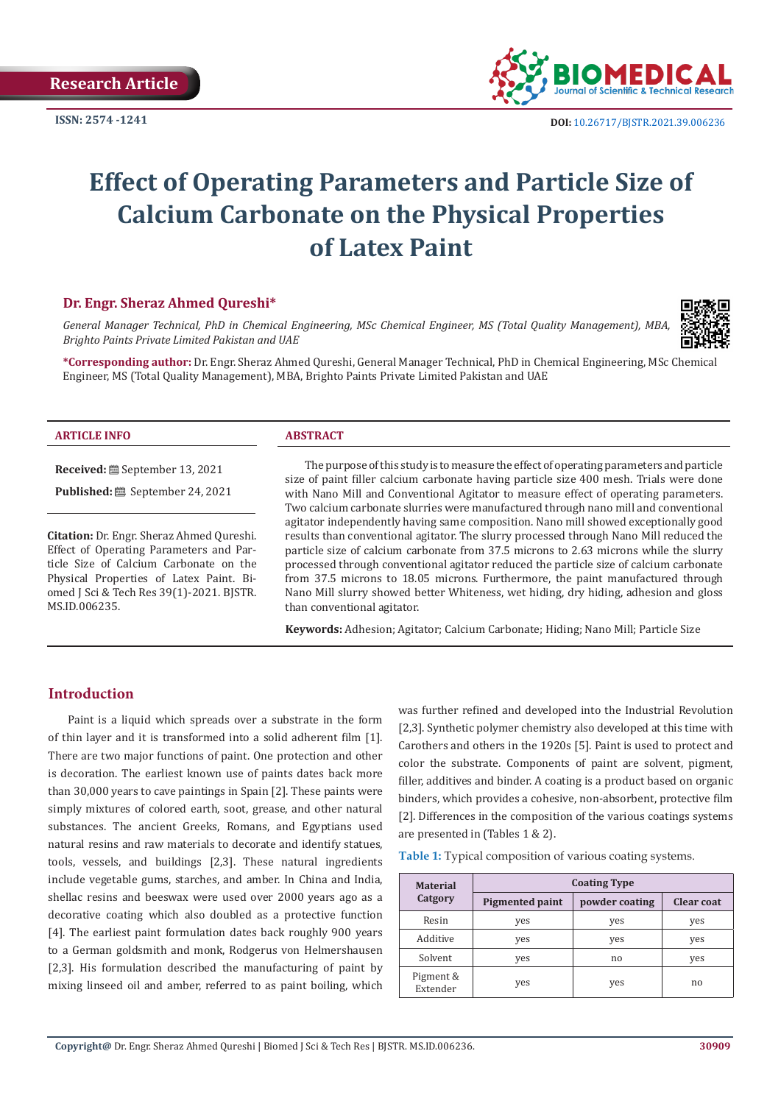**Research Article**

**ISSN: 2574 -1241**



 **DOI:** [10.26717/BJSTR.2021.39.006236](https://dx.doi.org/10.26717/BJSTR.2021.39.006236)

# **Effect of Operating Parameters and Particle Size of Calcium Carbonate on the Physical Properties of Latex Paint**

# **Dr. Engr. Sheraz Ahmed Qureshi\***

*General Manager Technical, PhD in Chemical Engineering, MSc Chemical Engineer, MS (Total Quality Management), MBA, Brighto Paints Private Limited Pakistan and UAE*



**\*Corresponding author:** Dr. Engr. Sheraz Ahmed Qureshi, General Manager Technical, PhD in Chemical Engineering, MSc Chemical Engineer, MS (Total Quality Management), MBA, Brighto Paints Private Limited Pakistan and UAE

#### **ARTICLE INFO ABSTRACT**

**Published:** ■ September 24, 2021 **Citation:** Dr. Engr. Sheraz Ahmed Qureshi.

Effect of Operating Parameters and Particle Size of Calcium Carbonate on the Physical Properties of Latex Paint. Biomed J Sci & Tech Res 39(1)-2021. BJSTR. MS.ID.006235.

**Received:** September 13, 2021

The purpose of this study is to measure the effect of operating parameters and particle size of paint filler calcium carbonate having particle size 400 mesh. Trials were done with Nano Mill and Conventional Agitator to measure effect of operating parameters. Two calcium carbonate slurries were manufactured through nano mill and conventional agitator independently having same composition. Nano mill showed exceptionally good results than conventional agitator. The slurry processed through Nano Mill reduced the particle size of calcium carbonate from 37.5 microns to 2.63 microns while the slurry processed through conventional agitator reduced the particle size of calcium carbonate from 37.5 microns to 18.05 microns. Furthermore, the paint manufactured through Nano Mill slurry showed better Whiteness, wet hiding, dry hiding, adhesion and gloss than conventional agitator.

**Keywords:** Adhesion; Agitator; Calcium Carbonate; Hiding; Nano Mill; Particle Size

# **Introduction**

Paint is a liquid which spreads over a substrate in the form of thin layer and it is transformed into a solid adherent film [1]. There are two major functions of paint. One protection and other is decoration. The earliest known use of paints dates back more than 30,000 years to cave paintings in Spain [2]. These paints were simply mixtures of colored earth, soot, grease, and other natural substances. The ancient Greeks, Romans, and Egyptians used natural resins and raw materials to decorate and identify statues, tools, vessels, and buildings [2,3]. These natural ingredients include vegetable gums, starches, and amber. In China and India, shellac resins and beeswax were used over 2000 years ago as a decorative coating which also doubled as a protective function [4]. The earliest paint formulation dates back roughly 900 years to a German goldsmith and monk, Rodgerus von Helmershausen [2,3]. His formulation described the manufacturing of paint by mixing linseed oil and amber, referred to as paint boiling, which was further refined and developed into the Industrial Revolution [2,3]. Synthetic polymer chemistry also developed at this time with Carothers and others in the 1920s [5]. Paint is used to protect and color the substrate. Components of paint are solvent, pigment, filler, additives and binder. A coating is a product based on organic binders, which provides a cohesive, non-absorbent, protective film [2]. Differences in the composition of the various coatings systems are presented in (Tables 1 & 2).

**Table 1:** Typical composition of various coating systems.

| <b>Material</b>       | <b>Coating Type</b>    |                |                   |  |
|-----------------------|------------------------|----------------|-------------------|--|
| Catgory               | <b>Pigmented paint</b> | powder coating | <b>Clear coat</b> |  |
| Resin                 | yes                    | yes            | yes               |  |
| Additive              | yes                    | yes            | yes               |  |
| Solvent               | yes                    | no             | yes               |  |
| Pigment &<br>Extender | yes                    | yes            | no.               |  |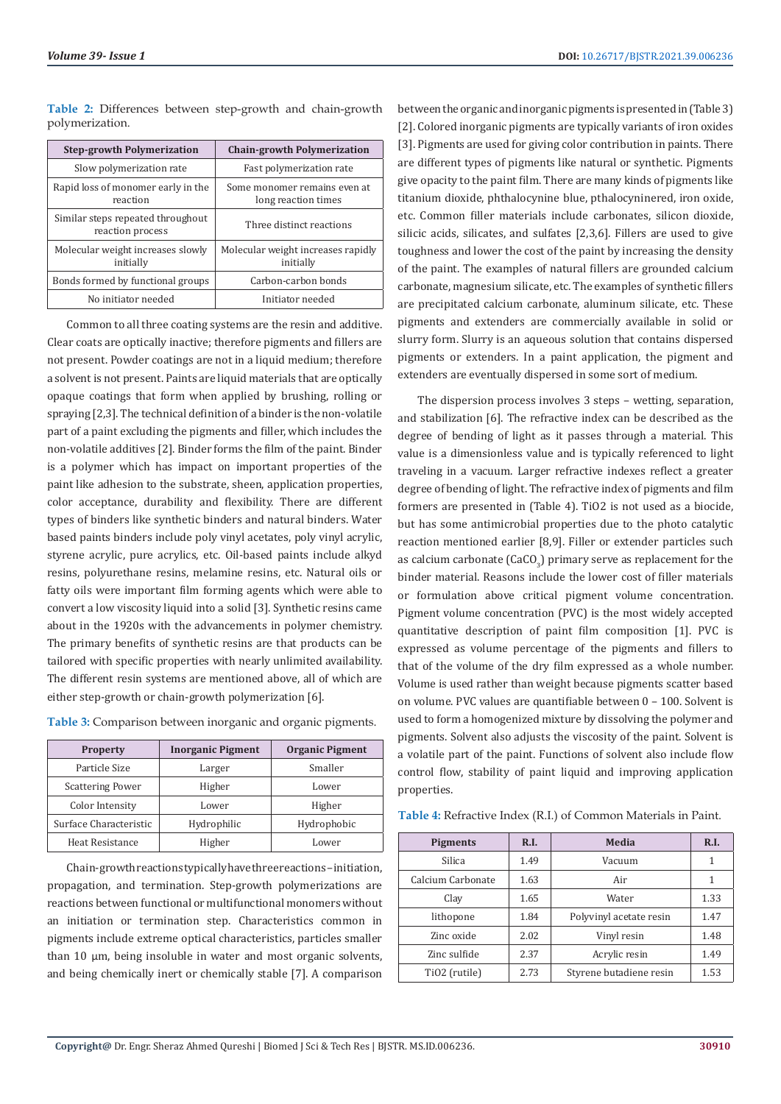**Table 2:** Differences between step-growth and chain-growth polymerization.

| <b>Step-growth Polymerization</b>                     | <b>Chain-growth Polymerization</b>                  |
|-------------------------------------------------------|-----------------------------------------------------|
| Slow polymerization rate                              | Fast polymerization rate                            |
| Rapid loss of monomer early in the<br>reaction        | Some monomer remains even at<br>long reaction times |
| Similar steps repeated throughout<br>reaction process | Three distinct reactions                            |
| Molecular weight increases slowly<br>initially        | Molecular weight increases rapidly<br>initially     |
| Bonds formed by functional groups                     | Carbon-carbon bonds                                 |
| No initiator needed                                   | Initiator needed                                    |

Common to all three coating systems are the resin and additive. Clear coats are optically inactive; therefore pigments and fillers are not present. Powder coatings are not in a liquid medium; therefore a solvent is not present. Paints are liquid materials that are optically opaque coatings that form when applied by brushing, rolling or spraying [2,3]. The technical definition of a binder is the non-volatile part of a paint excluding the pigments and filler, which includes the non-volatile additives [2]. Binder forms the film of the paint. Binder is a polymer which has impact on important properties of the paint like adhesion to the substrate, sheen, application properties, color acceptance, durability and flexibility. There are different types of binders like synthetic binders and natural binders. Water based paints binders include poly vinyl acetates, poly vinyl acrylic, styrene acrylic, pure acrylics, etc. Oil-based paints include alkyd resins, polyurethane resins, melamine resins, etc. Natural oils or fatty oils were important film forming agents which were able to convert a low viscosity liquid into a solid [3]. Synthetic resins came about in the 1920s with the advancements in polymer chemistry. The primary benefits of synthetic resins are that products can be tailored with specific properties with nearly unlimited availability. The different resin systems are mentioned above, all of which are either step-growth or chain-growth polymerization [6].

| <b>Property</b>         | <b>Inorganic Pigment</b> | <b>Organic Pigment</b> |
|-------------------------|--------------------------|------------------------|
| Particle Size           | Larger                   | Smaller                |
| <b>Scattering Power</b> | Higher                   | Lower                  |
| Color Intensity         | Lower                    | Higher                 |

Surface Characteristic Hydrophilic Hydrophobic Heat Resistance Higher Higher Lower

**Table 3:** Comparison between inorganic and organic pigments.

Chain-growth reactions typically have three reactions – initiation, propagation, and termination. Step-growth polymerizations are reactions between functional or multifunctional monomers without an initiation or termination step. Characteristics common in pigments include extreme optical characteristics, particles smaller than 10 μm, being insoluble in water and most organic solvents, and being chemically inert or chemically stable [7]. A comparison

between the organic and inorganic pigments is presented in (Table 3) [2]. Colored inorganic pigments are typically variants of iron oxides [3]. Pigments are used for giving color contribution in paints. There are different types of pigments like natural or synthetic. Pigments give opacity to the paint film. There are many kinds of pigments like titanium dioxide, phthalocynine blue, pthalocyninered, iron oxide, etc. Common filler materials include carbonates, silicon dioxide, silicic acids, silicates, and sulfates [2,3,6]. Fillers are used to give toughness and lower the cost of the paint by increasing the density of the paint. The examples of natural fillers are grounded calcium carbonate, magnesium silicate, etc. The examples of synthetic fillers are precipitated calcium carbonate, aluminum silicate, etc. These pigments and extenders are commercially available in solid or slurry form. Slurry is an aqueous solution that contains dispersed pigments or extenders. In a paint application, the pigment and extenders are eventually dispersed in some sort of medium.

The dispersion process involves 3 steps – wetting, separation, and stabilization [6]. The refractive index can be described as the degree of bending of light as it passes through a material. This value is a dimensionless value and is typically referenced to light traveling in a vacuum. Larger refractive indexes reflect a greater degree of bending of light. The refractive index of pigments and film formers are presented in (Table 4). TiO2 is not used as a biocide, but has some antimicrobial properties due to the photo catalytic reaction mentioned earlier [8,9]. Filler or extender particles such as calcium carbonate (CaCO $_3$ ) primary serve as replacement for the binder material. Reasons include the lower cost of filler materials or formulation above critical pigment volume concentration. Pigment volume concentration (PVC) is the most widely accepted quantitative description of paint film composition [1]. PVC is expressed as volume percentage of the pigments and fillers to that of the volume of the dry film expressed as a whole number. Volume is used rather than weight because pigments scatter based on volume. PVC values are quantifiable between 0 – 100. Solvent is used to form a homogenized mixture by dissolving the polymer and pigments. Solvent also adjusts the viscosity of the paint. Solvent is a volatile part of the paint. Functions of solvent also include flow control flow, stability of paint liquid and improving application properties.

| <b>Pigments</b>           | R.I. | Media                   | R.I. |
|---------------------------|------|-------------------------|------|
| Silica                    | 1.49 | Vacuum                  | 1    |
| Calcium Carbonate         | 1.63 | Air                     | 1    |
| Clay                      | 1.65 | Water                   | 1.33 |
| lithopone                 | 1.84 | Polyvinyl acetate resin | 1.47 |
| Zinc oxide                | 2.02 | Vinyl resin             | 1.48 |
| Zinc sulfide              | 2.37 | Acrylic resin           | 1.49 |
| TiO <sub>2</sub> (rutile) | 2.73 | Styrene butadiene resin | 1.53 |

#### **Table 4:** Refractive Index (R.I.) of Common Materials in Paint.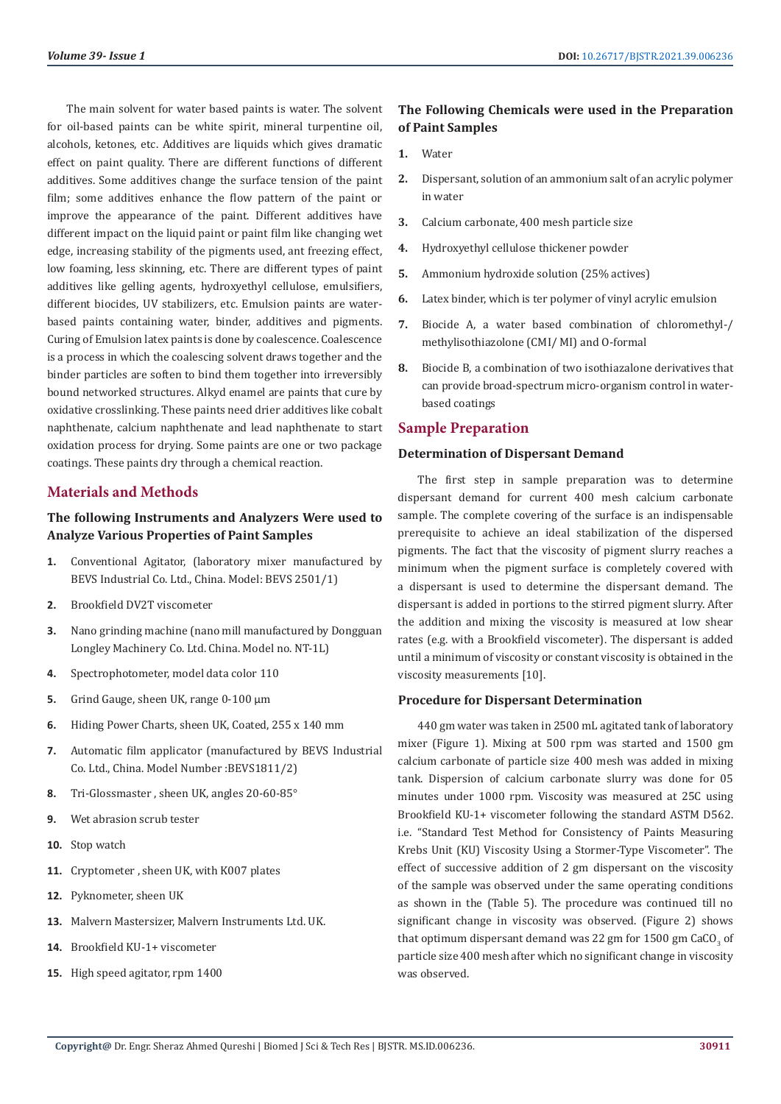The main solvent for water based paints is water. The solvent for oil-based paints can be white spirit, mineral turpentine oil, alcohols, ketones, etc. Additives are liquids which gives dramatic effect on paint quality. There are different functions of different additives. Some additives change the surface tension of the paint film; some additives enhance the flow pattern of the paint or improve the appearance of the paint. Different additives have different impact on the liquid paint or paint film like changing wet edge, increasing stability of the pigments used, ant freezing effect, low foaming, less skinning, etc. There are different types of paint additives like gelling agents, hydroxyethyl cellulose, emulsifiers, different biocides, UV stabilizers, etc. Emulsion paints are waterbased paints containing water, binder, additives and pigments. Curing of Emulsion latex paints is done by coalescence. Coalescence is a process in which the coalescing solvent draws together and the binder particles are soften to bind them together into irreversibly bound networked structures. Alkyd enamel are paints that cure by oxidative crosslinking. These paints need drier additives like cobalt naphthenate, calcium naphthenate and lead naphthenate to start oxidation process for drying. Some paints are one or two package coatings. These paints dry through a chemical reaction.

# **Materials and Methods**

# **The following Instruments and Analyzers Were used to Analyze Various Properties of Paint Samples**

- **1.** Conventional Agitator, (laboratory mixer manufactured by BEVS Industrial Co. Ltd., China. Model: BEVS 2501/1)
- **2.** Brookfield DV2T viscometer
- **3.** Nano grinding machine (nano mill manufactured by Dongguan Longley Machinery Co. Ltd. China. Model no. NT-1L)
- **4.** Spectrophotometer, model data color 110
- **5.** Grind Gauge, sheen UK, range 0-100 μm
- **6.** Hiding Power Charts, sheen UK, Coated, 255 x 140 mm
- **7.** Automatic film applicator (manufactured by BEVS Industrial Co. Ltd., China. Model Number :BEVS1811/2)
- **8.** Tri-Glossmaster , sheen UK, angles 20-60-85°
- **9.** Wet abrasion scrub tester
- **10.** Stop watch
- **11.** Cryptometer , sheen UK, with K007 plates
- **12.** Pyknometer, sheen UK
- **13.** Malvern Mastersizer, Malvern Instruments Ltd. UK.
- **14.** Brookfield KU-1+ viscometer
- **15.** High speed agitator, rpm 1400

# **The Following Chemicals were used in the Preparation of Paint Samples**

- **1.** Water
- **2.** Dispersant, solution of an ammonium salt of an acrylic polymer in water
- **3.** Calcium carbonate, 400 mesh particle size
- **4.** Hydroxyethyl cellulose thickener powder
- **5.** Ammonium hydroxide solution (25% actives)
- **6.** Latex binder, which is ter polymer of vinyl acrylic emulsion
- **7.** Biocide A, a water based combination of chloromethyl-/ methylisothiazolone (CMI/ MI) and O-formal
- **8.** Biocide B, a combination of two isothiazalone derivatives that can provide broad-spectrum micro-organism control in waterbased coatings

# **Sample Preparation**

#### **Determination of Dispersant Demand**

The first step in sample preparation was to determine dispersant demand for current 400 mesh calcium carbonate sample. The complete covering of the surface is an indispensable prerequisite to achieve an ideal stabilization of the dispersed pigments. The fact that the viscosity of pigment slurry reaches a minimum when the pigment surface is completely covered with a dispersant is used to determine the dispersant demand. The dispersant is added in portions to the stirred pigment slurry. After the addition and mixing the viscosity is measured at low shear rates (e.g. with a Brookfield viscometer). The dispersant is added until a minimum of viscosity or constant viscosity is obtained in the viscosity measurements [10].

#### **Procedure for Dispersant Determination**

440 gm water was taken in 2500 mL agitated tank of laboratory mixer (Figure 1). Mixing at 500 rpm was started and 1500 gm calcium carbonate of particle size 400 mesh was added in mixing tank. Dispersion of calcium carbonate slurry was done for 05 minutes under 1000 rpm. Viscosity was measured at 25C using Brookfield KU-1+ viscometer following the standard ASTM D562. i.e. "Standard Test Method for Consistency of Paints Measuring Krebs Unit (KU) Viscosity Using a Stormer-Type Viscometer". The effect of successive addition of 2 gm dispersant on the viscosity of the sample was observed under the same operating conditions as shown in the (Table 5). The procedure was continued till no significant change in viscosity was observed. (Figure 2) shows that optimum dispersant demand was 22  $\rm gm$  for  $1500$   $\rm gm$  CaCO $\rm_3$  of particle size 400 mesh after which no significant change in viscosity was observed.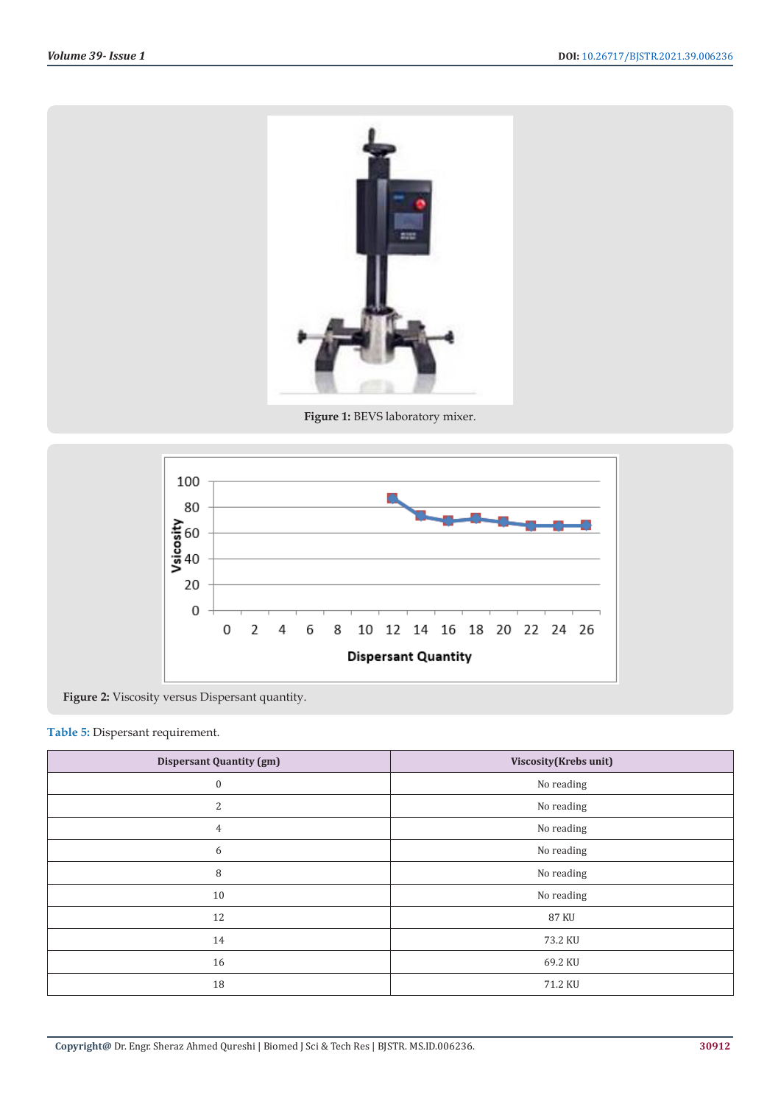

**Figure 1:** BEVS laboratory mixer.



**Figure 2:** Viscosity versus Dispersant quantity.

# **Table 5:** Dispersant requirement.

| <b>Dispersant Quantity (gm)</b> | Viscosity (Krebs unit) |
|---------------------------------|------------------------|
| $\boldsymbol{0}$                | No reading             |
| 2                               | No reading             |
| 4                               | No reading             |
| 6                               | No reading             |
| 8                               | No reading             |
| 10                              | No reading             |
| 12                              | <b>87 KU</b>           |
| 14                              | 73.2 KU                |
| 16                              | 69.2 KU                |
| 18                              | 71.2 KU                |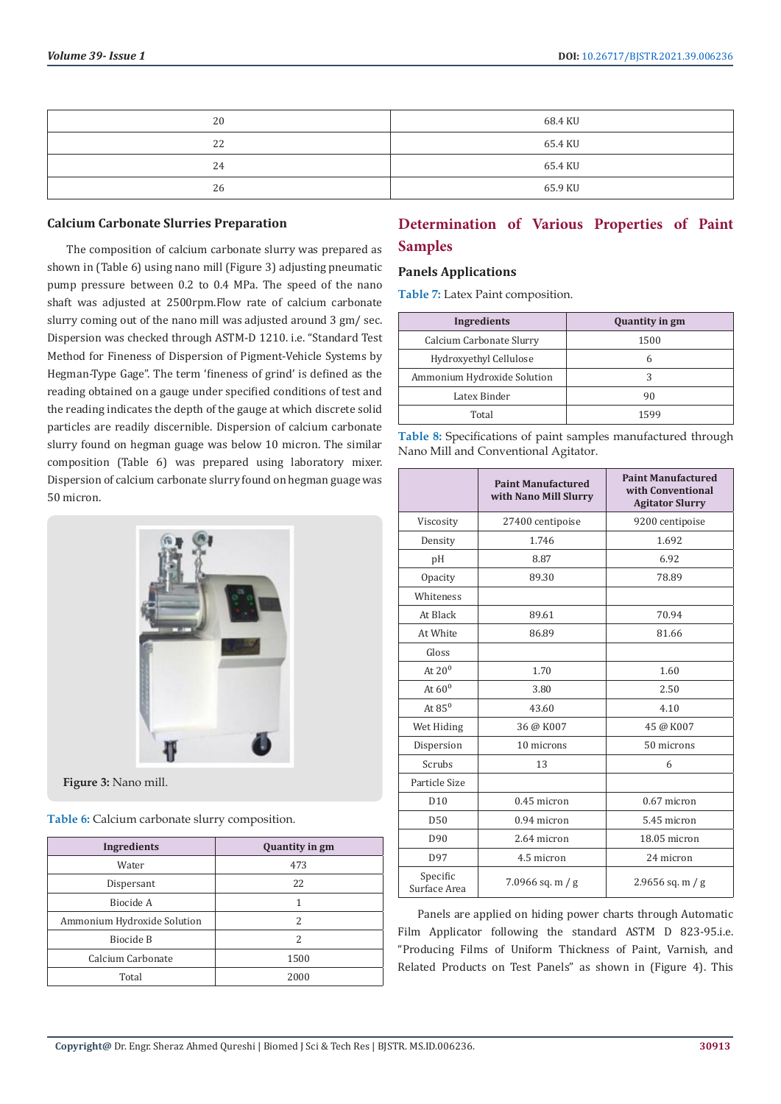| 20 | 68.4 KU |
|----|---------|
| 22 | 65.4 KU |
| 24 | 65.4 KU |
| 26 | 65.9 KU |

#### **Calcium Carbonate Slurries Preparation**

The composition of calcium carbonate slurry was prepared as shown in (Table 6) using nano mill (Figure 3) adjusting pneumatic pump pressure between 0.2 to 0.4 MPa. The speed of the nano shaft was adjusted at 2500rpm.Flow rate of calcium carbonate slurry coming out of the nano mill was adjusted around 3 gm/ sec. Dispersion was checked through ASTM-D 1210. i.e. "Standard Test Method for Fineness of Dispersion of Pigment-Vehicle Systems by Hegman-Type Gage". The term 'fineness of grind' is defined as the reading obtained on a gauge under specified conditions of test and the reading indicates the depth of the gauge at which discrete solid particles are readily discernible. Dispersion of calcium carbonate slurry found on hegman guage was below 10 micron. The similar composition (Table 6) was prepared using laboratory mixer. Dispersion of calcium carbonate slurry found on hegman guage was 50 micron.



**Figure 3:** Nano mill.

**Table 6:** Calcium carbonate slurry composition.

| Ingredients                 | <b>Quantity in gm</b> |
|-----------------------------|-----------------------|
| Water                       | 473                   |
| Dispersant                  | 22                    |
| Biocide A                   | 1                     |
| Ammonium Hydroxide Solution | $\mathcal{P}$         |
| Biocide B                   | 2                     |
| Calcium Carbonate           | 1500                  |
| Total                       | 2000                  |

# **Determination of Various Properties of Paint Samples**

#### **Panels Applications**

**Table 7:** Latex Paint composition.

| Ingredients                 | <b>Quantity in gm</b> |
|-----------------------------|-----------------------|
| Calcium Carbonate Slurry    | 1500                  |
| Hydroxyethyl Cellulose      | h                     |
| Ammonium Hydroxide Solution | 3                     |
| Latex Binder                | 90                    |
| Total                       | 1599                  |

| Table 8: Specifications of paint samples manufactured through |  |  |
|---------------------------------------------------------------|--|--|
| Nano Mill and Conventional Agitator.                          |  |  |

|                          | <b>Paint Manufactured</b><br>with Nano Mill Slurry | <b>Paint Manufactured</b><br>with Conventional<br><b>Agitator Slurry</b> |
|--------------------------|----------------------------------------------------|--------------------------------------------------------------------------|
| Viscosity                | 27400 centipoise                                   | 9200 centipoise                                                          |
| Density                  | 1.746                                              | 1.692                                                                    |
| pH                       | 8.87                                               | 6.92                                                                     |
| Opacity                  | 89.30                                              | 78.89                                                                    |
| Whiteness                |                                                    |                                                                          |
| At Black                 | 89.61                                              | 70.94                                                                    |
| At White                 | 86.89                                              | 81.66                                                                    |
| Gloss                    |                                                    |                                                                          |
| At $20^0$                | 1.70                                               | 1.60                                                                     |
| At $60^0$                | 3.80                                               | 2.50                                                                     |
| At $85^0$                | 43.60                                              | 4.10                                                                     |
| Wet Hiding               | 36 @ K007                                          | 45 @ K007                                                                |
| Dispersion               | 10 microns                                         | 50 microns                                                               |
| Scrubs                   | 13                                                 | 6                                                                        |
| Particle Size            |                                                    |                                                                          |
| D <sub>10</sub>          | 0.45 micron                                        | 0.67 micron                                                              |
| D50                      | 0.94 micron                                        | 5.45 micron                                                              |
| D90                      | 2.64 micron                                        | 18.05 micron                                                             |
| D97                      | 4.5 micron                                         | 24 micron                                                                |
| Specific<br>Surface Area | $7.0966$ sq. m / g                                 | 2.9656 sq. m / g                                                         |

Panels are applied on hiding power charts through Automatic Film Applicator following the standard ASTM D 823-95.i.e. "Producing Films of Uniform Thickness of Paint, Varnish, and Related Products on Test Panels" as shown in (Figure 4). This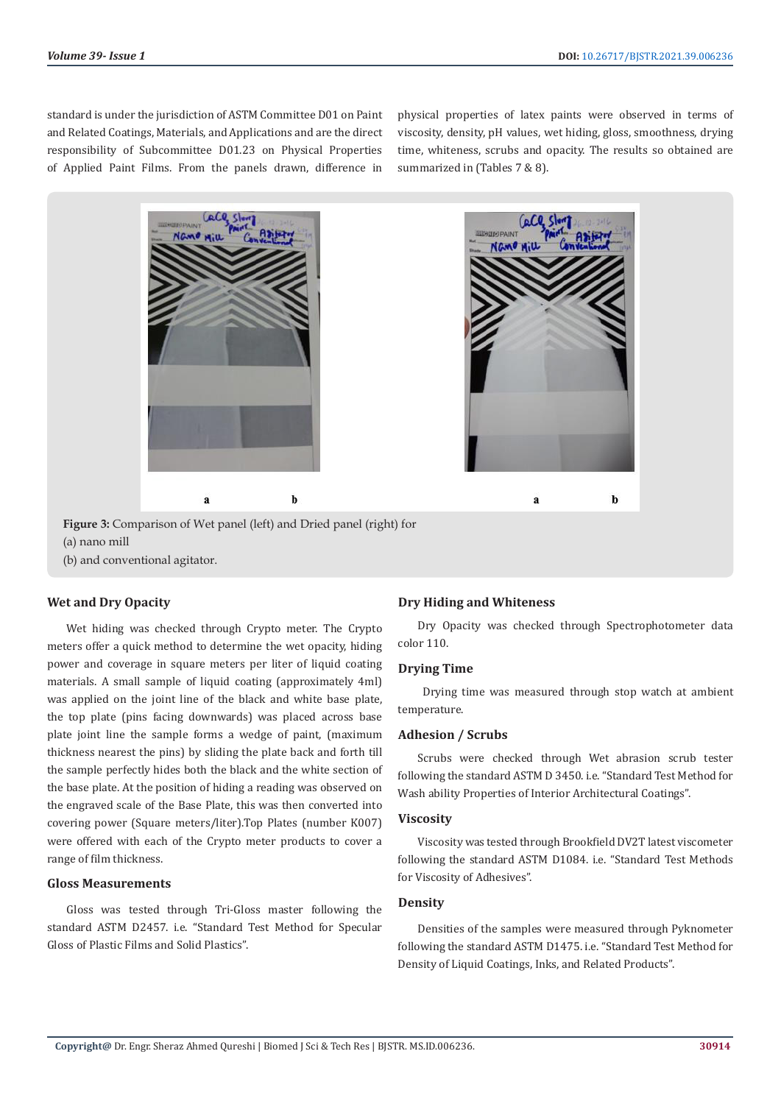standard is under the jurisdiction of ASTM Committee D01 on Paint and Related Coatings, Materials, and Applications and are the direct responsibility of Subcommittee D01.23 on Physical Properties of Applied Paint Films. From the panels drawn, difference in

physical properties of latex paints were observed in terms of viscosity, density, pH values, wet hiding, gloss, smoothness, drying time, whiteness, scrubs and opacity. The results so obtained are summarized in (Tables 7 & 8).





**Figure 3:** Comparison of Wet panel (left) and Dried panel (right) for (a) nano mill (b) and conventional agitator.

### **Wet and Dry Opacity**

Wet hiding was checked through Crypto meter. The Crypto meters offer a quick method to determine the wet opacity, hiding power and coverage in square meters per liter of liquid coating materials. A small sample of liquid coating (approximately 4ml) was applied on the joint line of the black and white base plate, the top plate (pins facing downwards) was placed across base plate joint line the sample forms a wedge of paint, (maximum thickness nearest the pins) by sliding the plate back and forth till the sample perfectly hides both the black and the white section of the base plate. At the position of hiding a reading was observed on the engraved scale of the Base Plate, this was then converted into covering power (Square meters/liter).Top Plates (number K007) were offered with each of the Crypto meter products to cover a range of film thickness.

### **Gloss Measurements**

Gloss was tested through Tri-Gloss master following the standard ASTM D2457. i.e. "Standard Test Method for Specular Gloss of Plastic Films and Solid Plastics".

#### **Dry Hiding and Whiteness**

Dry Opacity was checked through Spectrophotometer data color 110.

#### **Drying Time**

 Drying time was measured through stop watch at ambient temperature.

#### **Adhesion / Scrubs**

Scrubs were checked through Wet abrasion scrub tester following the standard ASTM D 3450. i.e. "Standard Test Method for Wash ability Properties of Interior Architectural Coatings".

#### **Viscosity**

Viscosity was tested through Brookfield DV2T latest viscometer following the standard ASTM D1084. i.e. "Standard Test Methods for Viscosity of Adhesives".

#### **Density**

Densities of the samples were measured through Pyknometer following the standard ASTM D1475. i.e. "Standard Test Method for Density of Liquid Coatings, Inks, and Related Products".